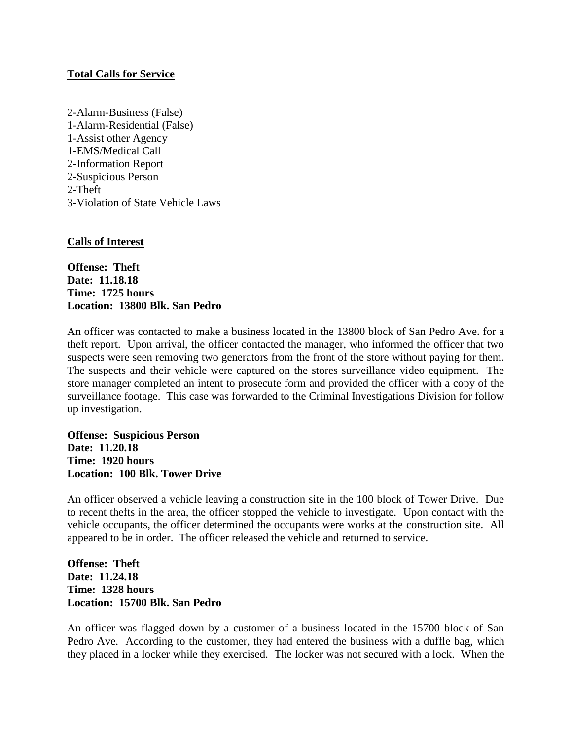## **Total Calls for Service**

2-Alarm-Business (False) 1-Alarm-Residential (False) 1-Assist other Agency 1-EMS/Medical Call 2-Information Report 2-Suspicious Person 2-Theft 3-Violation of State Vehicle Laws

## **Calls of Interest**

**Offense: Theft Date: 11.18.18 Time: 1725 hours Location: 13800 Blk. San Pedro**

An officer was contacted to make a business located in the 13800 block of San Pedro Ave. for a theft report. Upon arrival, the officer contacted the manager, who informed the officer that two suspects were seen removing two generators from the front of the store without paying for them. The suspects and their vehicle were captured on the stores surveillance video equipment. The store manager completed an intent to prosecute form and provided the officer with a copy of the surveillance footage. This case was forwarded to the Criminal Investigations Division for follow up investigation.

**Offense: Suspicious Person Date: 11.20.18 Time: 1920 hours Location: 100 Blk. Tower Drive**

An officer observed a vehicle leaving a construction site in the 100 block of Tower Drive. Due to recent thefts in the area, the officer stopped the vehicle to investigate. Upon contact with the vehicle occupants, the officer determined the occupants were works at the construction site. All appeared to be in order. The officer released the vehicle and returned to service.

**Offense: Theft Date: 11.24.18 Time: 1328 hours Location: 15700 Blk. San Pedro**

An officer was flagged down by a customer of a business located in the 15700 block of San Pedro Ave. According to the customer, they had entered the business with a duffle bag, which they placed in a locker while they exercised. The locker was not secured with a lock. When the